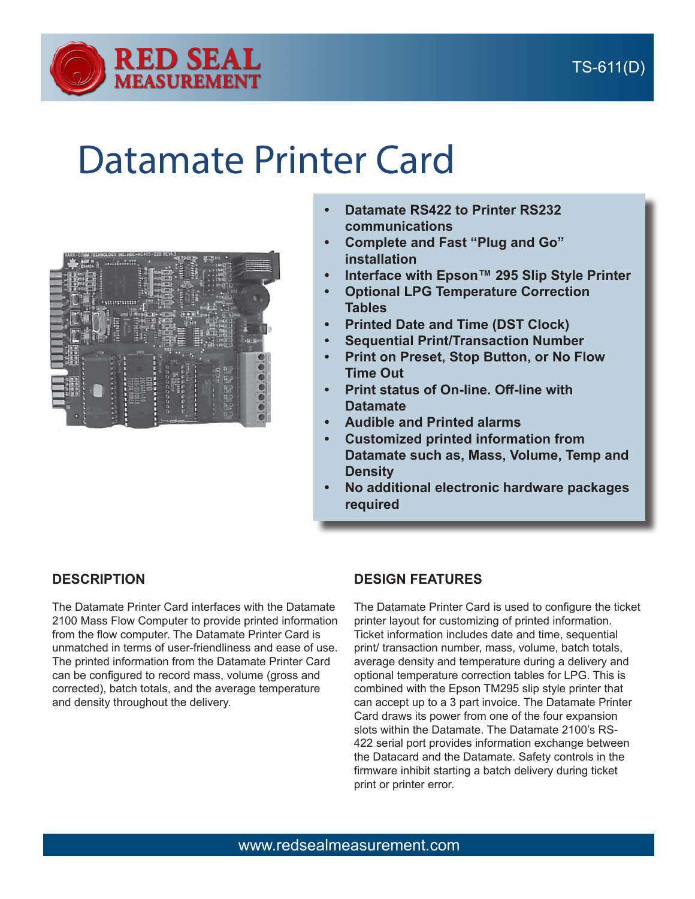

## Datamate Printer Card



- **• Datamate RS422 to Printer RS232 communications**
- **• Complete and Fast "Plug and Go" installation**
- **• Interface with Epson™ 295 Slip Style Printer**
- **• Optional LPG Temperature Correction Tables**
- **• Printed Date and Time (DST Clock)**
- **• Sequential Print/Transaction Number**
- **• Print on Preset, Stop Button, or No Flow Time Out**
- **• Print status of On-line. Off-line with Datamate**
- **• Audible and Printed alarms**
- **• Customized printed information from Datamate such as, Mass, Volume, Temp and Density**
- **• No additional electronic hardware packages required**

## **DESCRIPTION**

The Datamate Printer Card interfaces with the Datamate 2100 Mass Flow Computer to provide printed information from the flow computer. The Datamate Printer Card is unmatched in terms of user-friendliness and ease of use. The printed information from the Datamate Printer Card can be configured to record mass, volume (gross and corrected), batch totals, and the average temperature and density throughout the delivery.

## **DESIGN FEATURES**

The Datamate Printer Card is used to configure the ticket printer layout for customizing of printed information. Ticket information includes date and time, sequential print/ transaction number, mass, volume, batch totals, average density and temperature during a delivery and optional temperature correction tables for LPG. This is combined with the Epson TM295 slip style printer that can accept up to a 3 part invoice. The Datamate Printer Card draws its power from one of the four expansion slots within the Datamate. The Datamate 2100's RS-422 serial port provides information exchange between the Datacard and the Datamate. Safety controls in the firmware inhibit starting a batch delivery during ticket print or printer error.